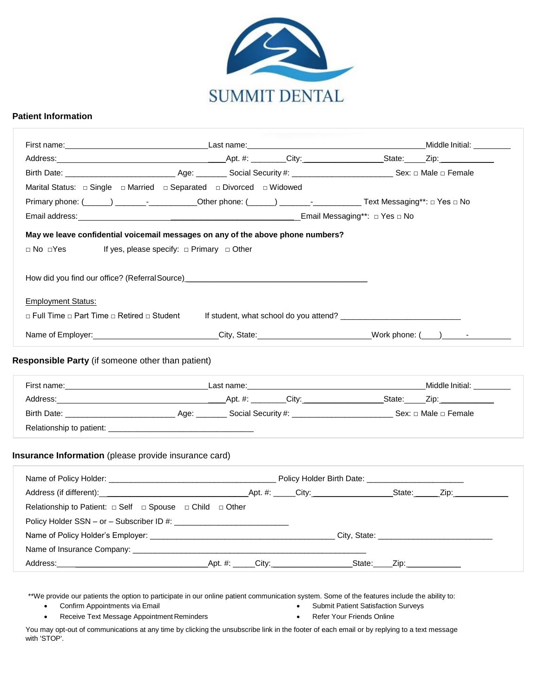

#### **Patient Information**

|                                                                              |                                                                                  | Birth Date: Sex: □ Male □ Female Age: Next Text Of Age: Next Text Of Age: Next Of Age: Next Of Age: Next Of Age: Next Of Age: Next Of Age: Next Of Age: Next Of Age: Next Of Age: Next Of Age: Next Of Age: Next Of Age: Next |
|------------------------------------------------------------------------------|----------------------------------------------------------------------------------|-------------------------------------------------------------------------------------------------------------------------------------------------------------------------------------------------------------------------------|
|                                                                              |                                                                                  |                                                                                                                                                                                                                               |
|                                                                              |                                                                                  |                                                                                                                                                                                                                               |
|                                                                              |                                                                                  |                                                                                                                                                                                                                               |
|                                                                              | May we leave confidential voicemail messages on any of the above phone numbers?  |                                                                                                                                                                                                                               |
| □ No □Yes                                                                    | If yes, please specify: $\Box$ Primary $\Box$ Other                              |                                                                                                                                                                                                                               |
|                                                                              |                                                                                  |                                                                                                                                                                                                                               |
|                                                                              | How did you find our office? (Referral Source)__________________________________ |                                                                                                                                                                                                                               |
|                                                                              |                                                                                  |                                                                                                                                                                                                                               |
| <b>Employment Status:</b>                                                    |                                                                                  |                                                                                                                                                                                                                               |
| □ Full Time □ Part Time □ Retired □ Student                                  |                                                                                  |                                                                                                                                                                                                                               |
|                                                                              |                                                                                  |                                                                                                                                                                                                                               |
|                                                                              |                                                                                  |                                                                                                                                                                                                                               |
| Responsible Party (if someone other than patient)                            |                                                                                  |                                                                                                                                                                                                                               |
|                                                                              |                                                                                  |                                                                                                                                                                                                                               |
|                                                                              |                                                                                  | Birth Date: Sex: □ Male □ Female Age: Network Scotial Security #: Network Sex: □ Male □ Female                                                                                                                                |
|                                                                              |                                                                                  |                                                                                                                                                                                                                               |
|                                                                              |                                                                                  |                                                                                                                                                                                                                               |
| Insurance Information (please provide insurance card)                        |                                                                                  |                                                                                                                                                                                                                               |
|                                                                              |                                                                                  |                                                                                                                                                                                                                               |
|                                                                              |                                                                                  |                                                                                                                                                                                                                               |
| Relationship to Patient: $\Box$ Self $\Box$ Spouse $\Box$ Child $\Box$ Other |                                                                                  |                                                                                                                                                                                                                               |
|                                                                              |                                                                                  |                                                                                                                                                                                                                               |
|                                                                              |                                                                                  |                                                                                                                                                                                                                               |
|                                                                              |                                                                                  |                                                                                                                                                                                                                               |

\*\*We provide our patients the option to participate in our online patient communication system. Some of the features include the ability to:

- 
- Confirm Appointments via Email **•** Submit Patient Satisfaction Surveys
- Receive Text Message Appointment Reminders  **Refer Your Friends Online**
- 

You may opt-out of communications at any time by clicking the unsubscribe link in the footer of each email or by replying to a text message with 'STOP'.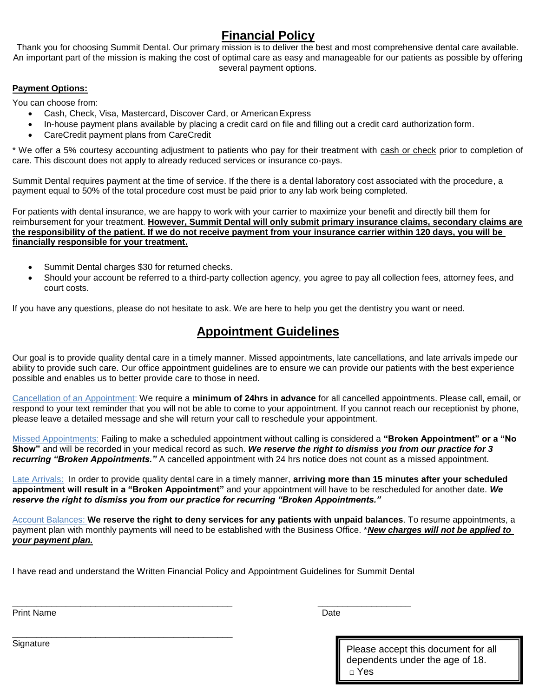# **Financial Policy**

Thank you for choosing Summit Dental. Our primary mission is to deliver the best and most comprehensive dental care available. An important part of the mission is making the cost of optimal care as easy and manageable for our patients as possible by offering several payment options.

#### **Payment Options:**

You can choose from:

- Cash, Check, Visa, Mastercard, Discover Card, or American Express
- In-house payment plans available by placing a credit card on file and filling out a credit card authorization form.
- CareCredit payment plans from CareCredit

\* We offer a 5% courtesy accounting adjustment to patients who pay for their treatment with cash or check prior to completion of care. This discount does not apply to already reduced services or insurance co-pays.

Summit Dental requires payment at the time of service. If the there is a dental laboratory cost associated with the procedure, a payment equal to 50% of the total procedure cost must be paid prior to any lab work being completed.

For patients with dental insurance, we are happy to work with your carrier to maximize your benefit and directly bill them for reimbursement for your treatment. **However, Summit Dental will only submit primary insurance claims, secondary claims are the responsibility of the patient. If we do not receive payment from your insurance carrier within 120 days, you will be financially responsible for your treatment.**

- Summit Dental charges \$30 for returned checks.
- Should your account be referred to a third-party collection agency, you agree to pay all collection fees, attorney fees, and court costs.

If you have any questions, please do not hesitate to ask. We are here to help you get the dentistry you want or need.

## **Appointment Guidelines**

Our goal is to provide quality dental care in a timely manner. Missed appointments, late cancellations, and late arrivals impede our ability to provide such care. Our office appointment guidelines are to ensure we can provide our patients with the best experience possible and enables us to better provide care to those in need.

Cancellation of an Appointment: We require a **minimum of 24hrs in advance** for all cancelled appointments. Please call, email, or respond to your text reminder that you will not be able to come to your appointment. If you cannot reach our receptionist by phone, please leave a detailed message and she will return your call to reschedule your appointment.

Missed Appointments: Failing to make a scheduled appointment without calling is considered a **"Broken Appointment" or a "No Show"** and will be recorded in your medical record as such. *We reserve the right to dismiss you from our practice for 3 recurring "Broken Appointments."* A cancelled appointment with 24 hrs notice does not count as a missed appointment.

Late Arrivals: In order to provide quality dental care in a timely manner, **arriving more than 15 minutes after your scheduled appointment will result in a "Broken Appointment"** and your appointment will have to be rescheduled for another date. *We reserve the right to dismiss you from our practice for recurring "Broken Appointments."* 

Account Balances: **We reserve the right to deny services for any patients with unpaid balances**. To resume appointments, a payment plan with monthly payments will need to be established with the Business Office. \**New charges will not be applied to your payment plan.*

I have read and understand the Written Financial Policy and Appointment Guidelines for Summit Dental

\_\_\_\_\_\_\_\_\_\_\_\_\_\_\_\_\_\_\_\_\_\_\_\_\_\_\_\_\_\_\_\_\_\_\_\_\_\_\_\_\_\_\_\_\_ \_\_\_\_\_\_\_\_\_\_\_\_\_\_\_\_\_\_\_

Print Name **Date** 

Signature **Please accept this document for all** dependents under the age of 18. □ Yes

\_\_\_\_\_\_\_\_\_\_\_\_\_\_\_\_\_\_\_\_\_\_\_\_\_\_\_\_\_\_\_\_\_\_\_\_\_\_\_\_\_\_\_\_\_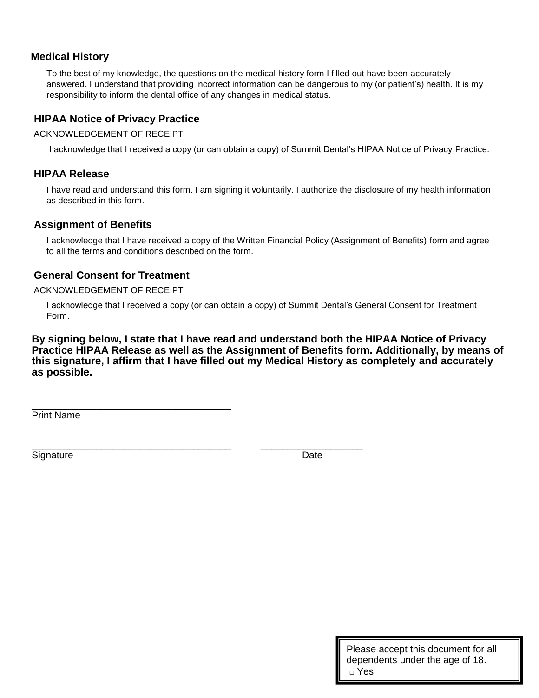### **Medical History**

To the best of my knowledge, the questions on the medical history form I filled out have been accurately answered. I understand that providing incorrect information can be dangerous to my (or patient's) health. It is my responsibility to inform the dental office of any changes in medical status.

### **HIPAA Notice of Privacy Practice**

ACKNOWLEDGEMENT OF RECEIPT

I acknowledge that I received a copy (or can obtain a copy) of Summit Dental's HIPAA Notice of Privacy Practice.

#### **HIPAA Release**

I have read and understand this form. I am signing it voluntarily. I authorize the disclosure of my health information as described in this form.

### **Assignment of Benefits**

I acknowledge that I have received a copy of the Written Financial Policy (Assignment of Benefits) form and agree to all the terms and conditions described on the form.

### **General Consent for Treatment**

#### ACKNOWLEDGEMENT OF RECEIPT

I acknowledge that I received a copy (or can obtain a copy) of Summit Dental's General Consent for Treatment Form.

**By signing below, I state that I have read and understand both the HIPAA Notice of Privacy Practice HIPAA Release as well as the Assignment of Benefits form. Additionally, by means of this signature, I affirm that I have filled out my Medical History as completely and accurately as possible.**

\_\_\_\_\_\_\_\_\_\_\_\_\_\_\_\_\_\_\_\_\_\_\_\_\_\_\_\_\_\_\_\_\_\_\_\_\_ Print Name

Signature Date **Date** 

\_\_\_\_\_\_\_\_\_\_\_\_\_\_\_\_\_\_\_\_\_\_\_\_\_\_\_\_\_\_\_\_\_\_\_\_\_ \_\_\_\_\_\_\_\_\_\_\_\_\_\_\_\_\_\_\_

Please accept this document for all dependents under the age of 18. □ Yes